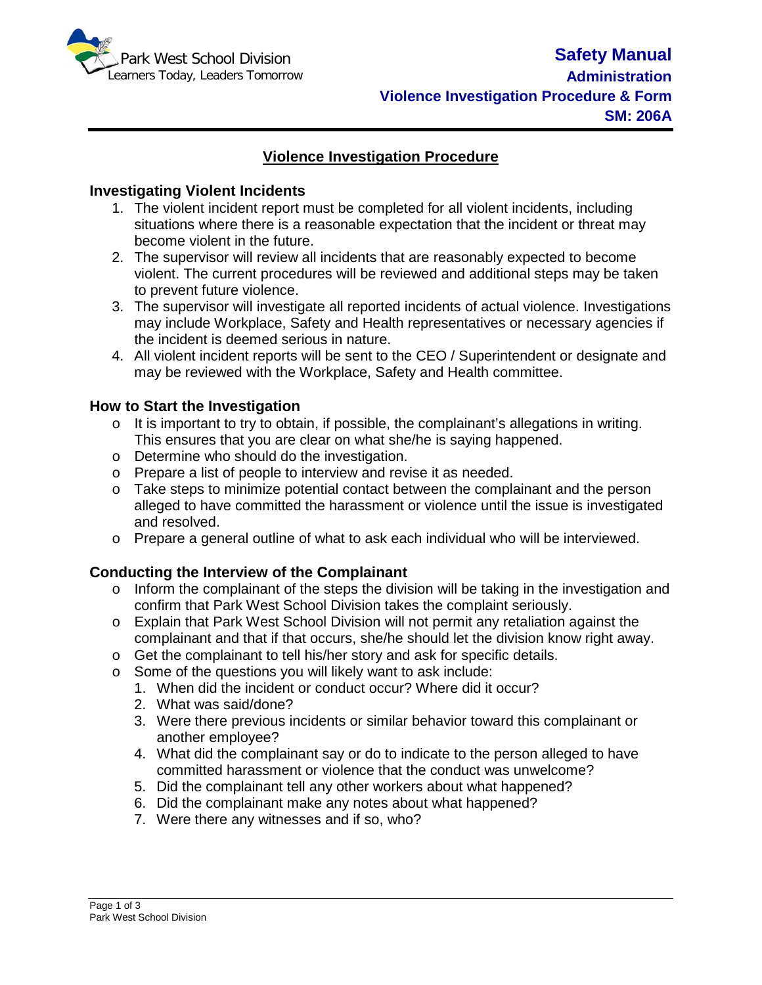

# **Violence Investigation Procedure**

#### **Investigating Violent Incidents**

- 1. The violent incident report must be completed for all violent incidents, including situations where there is a reasonable expectation that the incident or threat may become violent in the future.
- 2. The supervisor will review all incidents that are reasonably expected to become violent. The current procedures will be reviewed and additional steps may be taken to prevent future violence.
- 3. The supervisor will investigate all reported incidents of actual violence. Investigations may include Workplace, Safety and Health representatives or necessary agencies if the incident is deemed serious in nature.
- 4. All violent incident reports will be sent to the CEO / Superintendent or designate and may be reviewed with the Workplace, Safety and Health committee.

#### **How to Start the Investigation**

- o It is important to try to obtain, if possible, the complainant's allegations in writing. This ensures that you are clear on what she/he is saying happened.
- o Determine who should do the investigation.
- o Prepare a list of people to interview and revise it as needed.
- $\circ$  Take steps to minimize potential contact between the complainant and the person alleged to have committed the harassment or violence until the issue is investigated and resolved.
- $\circ$  Prepare a general outline of what to ask each individual who will be interviewed.

### **Conducting the Interview of the Complainant**

- o Inform the complainant of the steps the division will be taking in the investigation and confirm that Park West School Division takes the complaint seriously.
- o Explain that Park West School Division will not permit any retaliation against the complainant and that if that occurs, she/he should let the division know right away.
- o Get the complainant to tell his/her story and ask for specific details.
- o Some of the questions you will likely want to ask include:
	- 1. When did the incident or conduct occur? Where did it occur?
	- 2. What was said/done?
	- 3. Were there previous incidents or similar behavior toward this complainant or another employee?
	- 4. What did the complainant say or do to indicate to the person alleged to have committed harassment or violence that the conduct was unwelcome?
	- 5. Did the complainant tell any other workers about what happened?
	- 6. Did the complainant make any notes about what happened?
	- 7. Were there any witnesses and if so, who?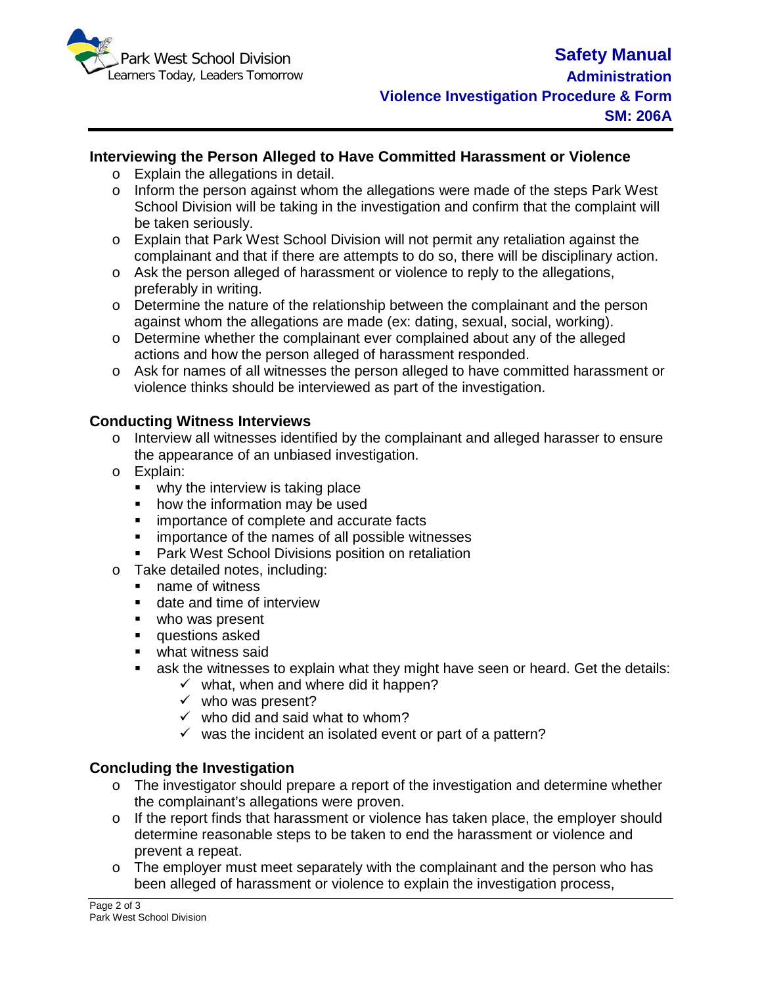

## **Interviewing the Person Alleged to Have Committed Harassment or Violence**

- o Explain the allegations in detail.
- $\circ$  Inform the person against whom the allegations were made of the steps Park West School Division will be taking in the investigation and confirm that the complaint will be taken seriously.
- o Explain that Park West School Division will not permit any retaliation against the complainant and that if there are attempts to do so, there will be disciplinary action.
- $\circ$  Ask the person alleged of harassment or violence to reply to the allegations, preferably in writing.
- $\circ$  Determine the nature of the relationship between the complainant and the person against whom the allegations are made (ex: dating, sexual, social, working).
- o Determine whether the complainant ever complained about any of the alleged actions and how the person alleged of harassment responded.
- o Ask for names of all witnesses the person alleged to have committed harassment or violence thinks should be interviewed as part of the investigation.

### **Conducting Witness Interviews**

- o Interview all witnesses identified by the complainant and alleged harasser to ensure the appearance of an unbiased investigation.
- o Explain:
	- why the interview is taking place
	- how the information may be used
	- **EXECUTE:** importance of complete and accurate facts
	- **EXEC** importance of the names of all possible witnesses
	- **Park West School Divisions position on retaliation**
- o Take detailed notes, including:
	- name of witness
	- date and time of interview
	- who was present
	- **questions asked**
	- **what witness said**
	- ask the witnesses to explain what they might have seen or heard. Get the details:
		- $\checkmark$  what, when and where did it happen?
		- $\checkmark$  who was present?
		- $\checkmark$  who did and said what to whom?
		- $\checkmark$  was the incident an isolated event or part of a pattern?

### **Concluding the Investigation**

- o The investigator should prepare a report of the investigation and determine whether the complainant's allegations were proven.
- o If the report finds that harassment or violence has taken place, the employer should determine reasonable steps to be taken to end the harassment or violence and prevent a repeat.
- $\circ$  The employer must meet separately with the complainant and the person who has been alleged of harassment or violence to explain the investigation process,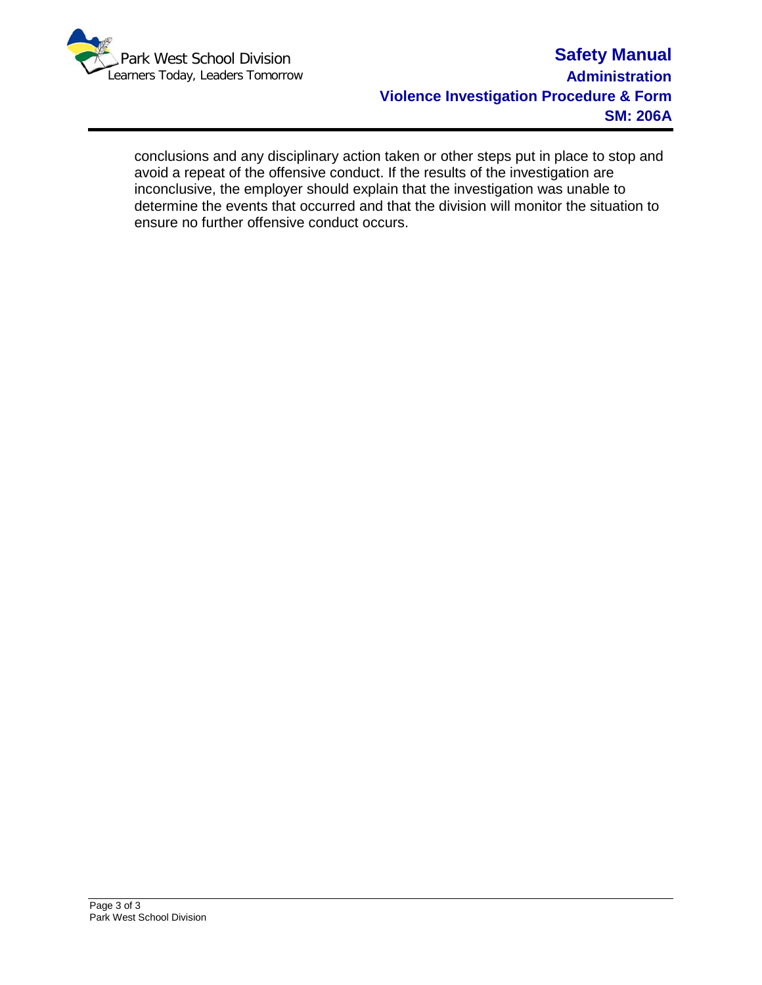

conclusions and any disciplinary action taken or other steps put in place to stop and avoid a repeat of the offensive conduct. If the results of the investigation are inconclusive, the employer should explain that the investigation was unable to determine the events that occurred and that the division will monitor the situation to ensure no further offensive conduct occurs.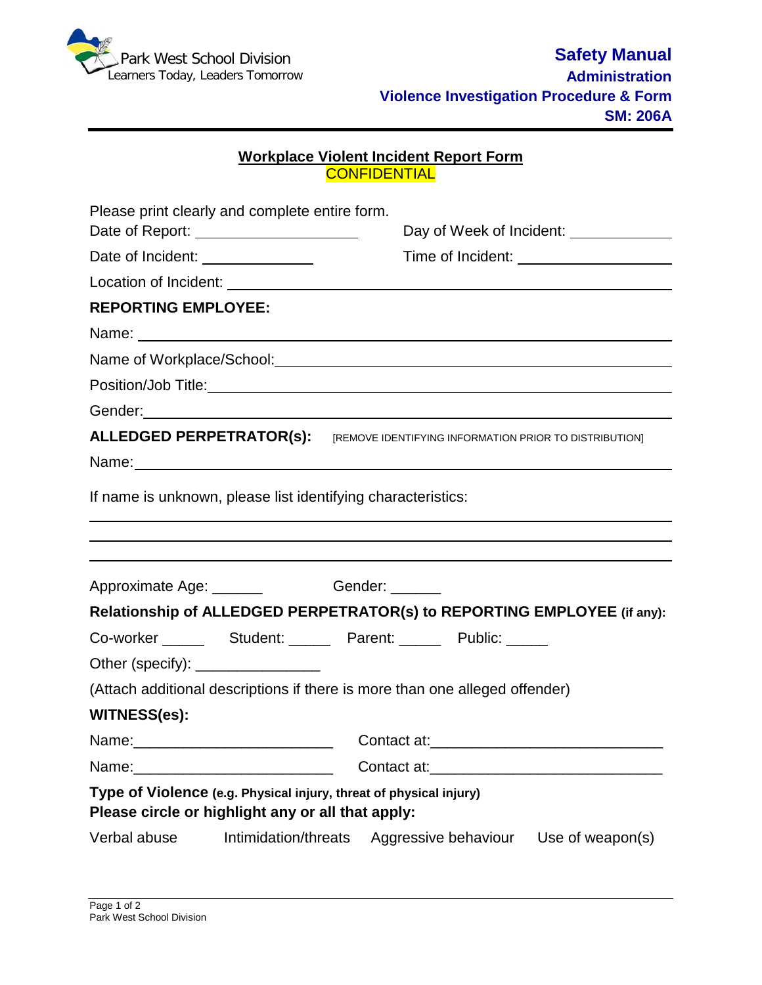

### **Workplace Violent Incident Report Form** CONFIDENTIAL

|                                                                                                                         | Please print clearly and complete entire form.<br>Date of Report: ______________________                                                                                                                                      |                      |  | Day of Week of Incident: _____________        |  |  |
|-------------------------------------------------------------------------------------------------------------------------|-------------------------------------------------------------------------------------------------------------------------------------------------------------------------------------------------------------------------------|----------------------|--|-----------------------------------------------|--|--|
| Date of Incident: _______________                                                                                       |                                                                                                                                                                                                                               |                      |  |                                               |  |  |
|                                                                                                                         |                                                                                                                                                                                                                               |                      |  |                                               |  |  |
| <b>REPORTING EMPLOYEE:</b>                                                                                              |                                                                                                                                                                                                                               |                      |  |                                               |  |  |
|                                                                                                                         | Name: Name: Name: Name: Name: Name: Name: Name: Name: Name: Name: Name: Name: Name: Name: Name: Name: Name: Name: Name: Name: Name: Name: Name: Name: Name: Name: Name: Name: Name: Name: Name: Name: Name: Name: Name: Name: |                      |  |                                               |  |  |
|                                                                                                                         | Name of Workplace/School: Name of Workplace/School:                                                                                                                                                                           |                      |  |                                               |  |  |
|                                                                                                                         |                                                                                                                                                                                                                               |                      |  |                                               |  |  |
|                                                                                                                         | Gender: <u>Communication</u>                                                                                                                                                                                                  |                      |  |                                               |  |  |
|                                                                                                                         | <b>ALLEDGED PERPETRATOR(S):</b> [REMOVE IDENTIFYING INFORMATION PRIOR TO DISTRIBUTION]                                                                                                                                        |                      |  |                                               |  |  |
|                                                                                                                         | Name: Name:                                                                                                                                                                                                                   |                      |  |                                               |  |  |
| If name is unknown, please list identifying characteristics:                                                            |                                                                                                                                                                                                                               |                      |  |                                               |  |  |
|                                                                                                                         | ,我们也不会有什么?""我们的人,我们也不会有什么?""我们的人,我们也不会有什么?""我们的人,我们也不会有什么?""我们的人,我们也不会有什么?""我们的人                                                                                                                                              |                      |  |                                               |  |  |
|                                                                                                                         | Approximate Age: ________ Gender: ______                                                                                                                                                                                      |                      |  |                                               |  |  |
|                                                                                                                         | Relationship of ALLEDGED PERPETRATOR(s) to REPORTING EMPLOYEE (if any):                                                                                                                                                       |                      |  |                                               |  |  |
|                                                                                                                         |                                                                                                                                                                                                                               |                      |  |                                               |  |  |
| Other (specify): ___________________                                                                                    |                                                                                                                                                                                                                               |                      |  |                                               |  |  |
| (Attach additional descriptions if there is more than one alleged offender)                                             |                                                                                                                                                                                                                               |                      |  |                                               |  |  |
| <b>WITNESS(es):</b>                                                                                                     |                                                                                                                                                                                                                               |                      |  |                                               |  |  |
|                                                                                                                         |                                                                                                                                                                                                                               |                      |  |                                               |  |  |
| Name:                                                                                                                   |                                                                                                                                                                                                                               | Contact at:          |  | <u> 1980 - Jan Samuel Barbara, margaret e</u> |  |  |
| Type of Violence (e.g. Physical injury, threat of physical injury)<br>Please circle or highlight any or all that apply: |                                                                                                                                                                                                                               |                      |  |                                               |  |  |
| Verbal abuse                                                                                                            | Intimidation/threats                                                                                                                                                                                                          | Aggressive behaviour |  | Use of weapon(s)                              |  |  |